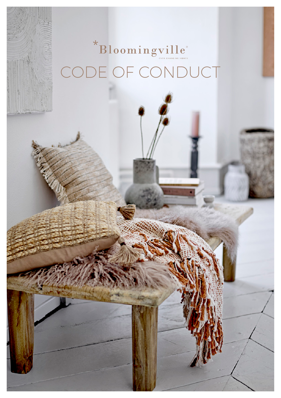# \*Bloomingville E OF CONDUCT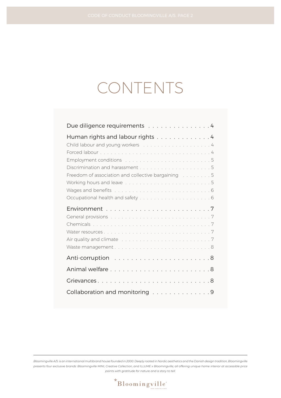## CONTENTS

| Due diligence requirements 4                                                                               |
|------------------------------------------------------------------------------------------------------------|
| Human rights and labour rights 4<br>Freedom of association and collective bargaining [1, 1, 1, 1, 1, 1, 5] |
|                                                                                                            |
|                                                                                                            |
| General provisions with a contract to contract the contract of the Contract of T                           |
|                                                                                                            |
|                                                                                                            |
|                                                                                                            |
|                                                                                                            |
|                                                                                                            |
|                                                                                                            |
|                                                                                                            |

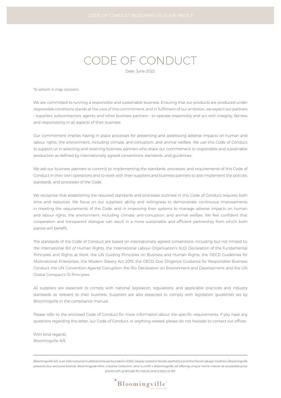### CODE OF CONDUCT

Date: June 2022

To whom it may concern,

We are committed to running a responsible and sustainable business. Ensuring that our products are produced under responsible conditions stands at the core of this commitment, and in fulfilment of our ambition, we expect our partners – suppliers, subcontractors, agents, and other business partners – to operate responsibly and act with integrity, fairness and responsibility in all aspects of their business.

Our commitment implies having in place processes for preventing and addressing adverse impacts on human and labour rights, the environment, including climate, anti-corruption, and animal welfare. We use this Code of Conduct to support us in selecting and retaining business partners who share our commitment to responsible and sustainable production as defined by internationally agreed conventions, standards, and guidelines.

We ask our business partners to commit to implementing the standards, processes, and requirements of this Code of Conduct in their own operations and to work with their suppliers and business partners to also implement the policies, standards, and processes of the Code.

We recognise that establishing the required standards and processes outlined in this Code of Conduct requires both time and resources. We focus on our suppliers' ability and willingness to demonstrate continuous improvements in meeting the requirements of the Code, and in improving their systems to manage adverse impacts on human and labour rights, the environment, including climate, anti-corruption, and animal welfare. We feel confident that cooperation and transparent dialogue can result in a more sustainable and efficient partnership from which both parties will benefit.

The standards of the Code of Conduct are based on internationally agreed conventions, including but not limited to: the International Bill of Human Rights, the International Labour Organisation's (ILO) Declaration of the Fundamental Principles and Rights at Work, the UN Guiding Principles on Business and Human Rights, the OECD Guidelines for Multinational Enterprises, the Modern Slavery Act 2015, the OECD Due Diligence Guidance for Responsible Business Conduct, the UN Convention Against Corruption, the Rio Declaration on Environment and Development; and the UN Global Compact's 10 Principles

All suppliers are expected to comply with national legislation, regulations, and applicable practices and industry standards as relevant to their business. Suppliers are also expected to comply with legislation guidelines set by Bloomingville in the compliance manual.

Please refer to the enclosed Code of Conduct for more information about the specific requirements. If you have any questions regarding this letter, our Code of Conduct, or anything related, please do not hesitate to contact our offices.

With kind regards, Bloomingville A/S

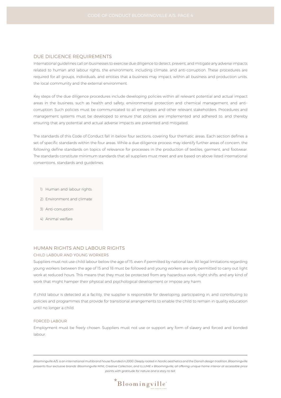#### DUE DILIGENCE REQUIREMENTS

International guidelines call on businesses to exercise due diligence to detect, prevent, and mitigate any adverse impacts related to human and labour rights, the environment, including climate, and anti-corruption. These procedures are required for all groups, individuals, and entities that a business may impact, within all business and production units, the local community and the external environment.

Key steps of the due diligence procedures include developing policies within all relevant potential and actual impact areas in the business, such as health and safety, environmental protection and chemical management, and anticorruption. Such policies must be communicated to all employees and other relevant stakeholders. Procedures and management systems must be developed to ensure that policies are implemented and adhered to, and thereby ensuring that any potential and actual adverse impacts are prevented and mitigated.

The standards of this Code of Conduct fall in below four sections, covering four thematic areas. Each section defines a set of specific standards within the four areas. While a due diligence process may identify further areas of concern, the following define standards on topics of relevance for processes in the production of textiles, garment, and footwear. The standards constitute minimum standards that all suppliers must meet and are based on above listed international conventions, standards and guidelines.

- 1) Human and labour rights
- 2) Environment and climate
- 3) Anti-corruption
- 4) Animal welfare

#### HUMAN RIGHTS AND LABOUR RIGHTS

#### CHILD LABOUR AND YOUNG WORKERS

Suppliers must not use child labour below the age of 15, even if permitted by national law. All legal limitations regarding young workers between the age of 15 and 18 must be followed and young workers are only permitted to carry out light work at reduced hours. This means that they must be protected from any hazardous work, night shifts, and any kind of work that might hamper their physical and psychological development or impose any harm.

If child labour is detected at a facility, the supplier is responsible for developing, participating in, and contributing to policies and programmes that provide for transitional arrangements to enable the child to remain in quality education until no longer a child.

#### FORCED LABOUR

Employment must be freely chosen. Suppliers must not use or support any form of slavery and forced and bonded labour.

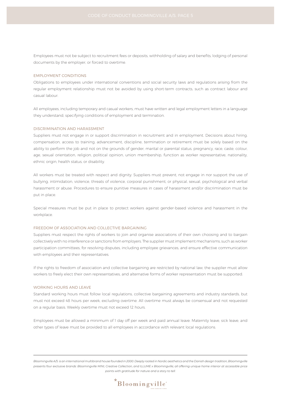Employees must not be subject to recruitment fees or deposits, withholding of salary and benefits, lodging of personal documents by the employer, or forced to overtime.

#### EMPLOYMENT CONDITIONS

Obligations to employees under international conventions and social security laws and regulations arising from the regular employment relationship must not be avoided by using short-term contracts, such as contract labour and casual labour.

All employees, including temporary and casual workers, must have written and legal employment letters in a language they understand, specifying conditions of employment and termination.

#### DISCRIMINATION AND HARASSMENT

Suppliers must not engage in or support discrimination in recruitment and in employment. Decisions about hiring, compensation, access to training, advancement, discipline, termination or retirement must be solely based on the ability to perform the job and not on the grounds of gender, marital or parental status, pregnancy, race, caste, colour, age, sexual orientation, religion, political opinion, union membership, function as worker representative, nationality, ethnic origin, health status, or disability.

All workers must be treated with respect and dignity. Suppliers must prevent, not engage in nor support the use of bullying, intimidation, violence, threats of violence, corporal punishment, or physical, sexual, psychological and verbal harassment or abuse. Procedures to ensure punitive measures in cases of harassment and/or discrimination must be put in place.

Special measures must be put in place to protect workers against gender-based violence and harassment in the workplace.

#### FREEDOM OF ASSOCIATION AND COLLECTIVE BARGAINING

Suppliers must respect the rights of workers to join and organise associations of their own choosing and to bargain collectively with no interference or sanctions from employers. The supplier must implement mechanisms, such as worker participation committees, for resolving disputes, including employee grievances, and ensure effective communication with employees and their representatives.

If the rights to freedom of association and collective bargaining are restricted by national law, the supplier must allow workers to freely elect their own representatives, and alternative forms of worker representation must be supported.

#### WORKING HOURS AND LEAVE

Standard working hours must follow local regulations, collective bargaining agreements and industry standards, but must not exceed 48 hours per week, excluding overtime. All overtime must always be consensual and not requested on a regular basis. Weekly overtime must not exceed 12 hours.

Employees must be allowed a minimum of 1 day off per week and paid annual leave. Maternity leave, sick leave, and other types of leave must be provided to all employees in accordance with relevant local regulations.

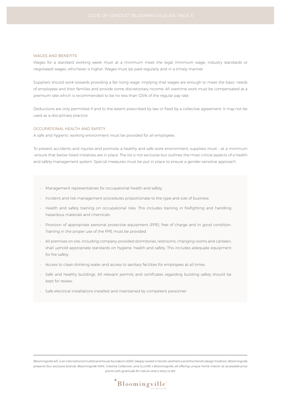#### WAGES AND BENEFITS

Wages for a standard working week must at a minimum meet the legal minimum wage, industry standards or negotiated wages, whichever is higher. Wages must be paid regularly and in a timely manner.

Suppliers should work towards providing a fair living wage, implying that wages are enough to meet the basic needs of employees and their families and provide some discretionary income. All overtime work must be compensated at a premium rate which is recommended to be no less than 125% of the regular pay rate.

Deductions are only permitted if and to the extent prescribed by law or fixed by a collective agreement. It may not be used as a disciplinary practice.

#### OCCUPATIONAL HEALTH AND SAFETY

A safe and hygienic working environment must be provided for all employees.

To prevent accidents and injuries and promote a healthy and safe work environment, suppliers must – at a minimum –ensure that below listed initiatives are in place. The list is not exclusive but outlines the most critical aspects of a health and safety management system. Special measures must be put in place to ensure a gender-sensitive approach.

- Management representatives for occupational health and safety.
- Incident and risk management procedures proportionate to the type and size of business.
- Health and safety training on occupational risks. This includes training in firefighting and handling hazardous materials and chemicals.
- Provision of appropriate personal protective equipment (PPE), free of charge and in good condition. Training in the proper use of the PPE must be provided.
- All premises on site, including company-provided dormitories, restrooms, changing rooms and canteen, shall uphold appropriate standards on hygiene, health and safety. This includes adequate equipment for fire safety.
- Access to clean drinking water and access to sanitary facilities for employees at all times.
- Safe and healthy buildings. All relevant permits and certificates regarding building safety should be kept for review.
- Safe electrical installations installed and maintained by competent personnel.

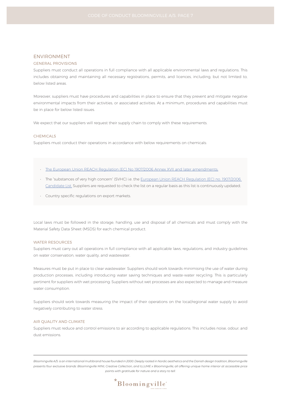#### ENVIRONMENT

#### GENERAL PROVISIONS

Suppliers must conduct all operations in full compliance with all applicable environmental laws and regulations. This includes obtaining and maintaining all necessary registrations, permits, and licences, including, but not limited to, below listed areas.

Moreover, suppliers must have procedures and capabilities in place to ensure that they prevent and mitigate negative environmental impacts from their activities, or associated activities. At a minimum, procedures and capabilities must be in place for below listed issues.

We expect that our suppliers will request their supply chain to comply with these requirements.

#### CHEMICALS

Suppliers must conduct their operations in accordance with below requirements on chemicals:

- The European Union REACH Regulation (EC) No 1907/2006 Annex XVII and later amendments;
- The "substances of very high concern" (SVHC) i.e. the European Union REACH Regulation (EC) no. 1907/2006 Candidate List. Suppliers are requested to check the list on a regular basis as this list is continuously updated;
- Country specific regulations on export markets.

Local laws must be followed in the storage, handling, use and disposal of all chemicals and must comply with the Material Safety Data Sheet (MSDS) for each chemical product.

#### WATER RESOURCES

Suppliers must carry out all operations in full compliance with all applicable laws, regulations, and industry guidelines on water conservation, water quality, and wastewater.

Measures must be put in place to clear wastewater. Suppliers should work towards minimising the use of water during production processes, including introducing water saving techniques and waste-water recycling. This is particularly pertinent for suppliers with wet processing. Suppliers without wet processes are also expected to manage and measure water consumption.

Suppliers should work towards measuring the impact of their operations on the local/regional water supply to avoid negatively contributing to water stress.

#### AIR QUALITY AND CLIMATE

Suppliers must reduce and control emissions to air according to applicable regulations. This includes noise, odour, and dust emissions.

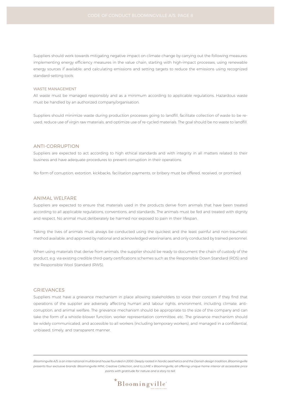Suppliers should work towards mitigating negative impact on climate change by carrying out the following measures: implementing energy efficiency measures in the value chain, starting with high-impact processes, using renewable energy sources if available; and calculating emissions and setting targets to reduce the emissions using recognized standard-setting tools.

#### WASTE MANAGEMENT

All waste must be managed responsibly and as a minimum according to applicable regulations. Hazardous waste must be handled by an authorized company/organisation.

Suppliers should minimize waste during production processes going to landfill, facilitate collection of waste to be reused, reduce use of virgin raw materials, and optimize use of re-cycled materials. The goal should be no waste to landfill.

#### ANTI-CORRUPTION

Suppliers are expected to act according to high ethical standards and with integrity in all matters related to their business and have adequate procedures to prevent corruption in their operations.

No form of corruption, extortion, kickbacks, facilitation payments, or bribery must be offered, received, or promised.

#### ANIMAL WELFARE

Suppliers are expected to ensure that materials used in the products derive from animals that have been treated according to all applicable regulations, conventions, and standards. The animals must be fed and treated with dignity and respect. No animal must deliberately be harmed nor exposed to pain in their lifespan.

Taking the lives of animals must always be conducted using the quickest and the least painful and non-traumatic method available, and approved by national and acknowledged veterinarians, and only conducted by trained personnel.

When using materials that derive from animals, the supplier should be ready to document the chain of custody of the product, e.g. via existing credible third-party certifications schemes such as the Responsible Down Standard (RDS) and the Responsible Wool Standard (RWS).

#### GRIEVANCES

Suppliers must have a grievance mechanism in place allowing stakeholders to voice their concern if they find that operations of the supplier are adversely affecting human and labour rights, environment, including climate, anticorruption, and animal welfare. The grievance mechanism should be appropriate to the size of the company and can take the form of a whistle-blower function, worker representation committee, etc. The grievance mechanism should be widely communicated, and accessible to all workers (including temporary workers), and managed in a confidential, unbiased, timely, and transparent manner.